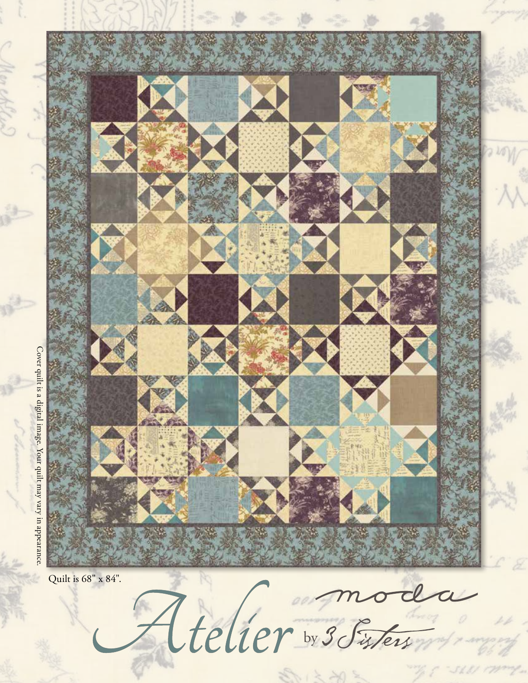

Cover quilt is a digital image. Your quilt may vary in appearance. Cover quilt is a digital image. Your quilt may vary in appearance.

Atelier by 3 Sisters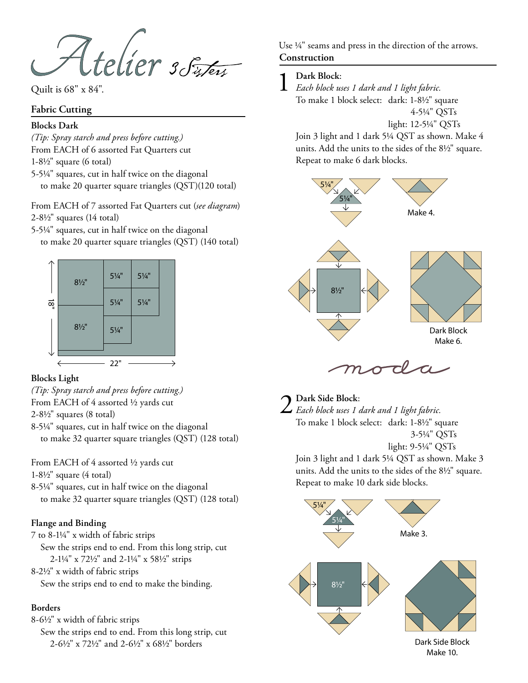Atelier 3 Fixers

Quilt is 68" x 84".

### **Fabric Cutting**

### **Blocks Dark**

*(Tip: Spray starch and press before cutting.)* From EACH of 6 assorted Fat Quarters cut

1-81/2" square (6 total)

5-51/4" squares, cut in half twice on the diagonal to make 20 quarter square triangles (QST)(120 total)

From EACH of 7 assorted Fat Quarters cut (*see diagram*)  $2-8\frac{1}{2}$ " squares (14 total)

5-51/4" squares, cut in half twice on the diagonal to make 20 quarter square triangles (QST) (140 total)



### **Blocks Light**

*(Tip: Spray starch and press before cutting.)*

From EACH of 4 assorted 1/2 yards cut

 $2-8\frac{1}{2}$ " squares (8 total)

8-51/4" squares, cut in half twice on the diagonal to make 32 quarter square triangles (QST) (128 total)

From EACH of 4 assorted 1/2 yards cut

 $1-8\frac{1}{2}$ " square (4 total)

8-51/4" squares, cut in half twice on the diagonal to make 32 quarter square triangles (QST) (128 total)

# **Flange and Binding**

7 to 8-11/4" x width of fabric strips Sew the strips end to end. From this long strip, cut 2-11/4" x 721/2" and 2-11/4" x 581/2" strips

8-21/2" x width of fabric strips Sew the strips end to end to make the binding.

# **Borders**

8-61/2" x width of fabric strips Sew the strips end to end. From this long strip, cut 2-61/2" x 721/2" and 2-61/2" x 681/2" borders

**Construction** Use ¼" seams and press in the direction of the arrows.

1 **Dark Block**: *Each block uses 1 dark and 1 light fabric.*  To make 1 block select: dark: 1-8½" square 4-51/4" QSTs

light: 12-51/4" QSTs

Join 3 light and 1 dark 51/4 QST as shown. Make 4 units. Add the units to the sides of the 81/2" square. Repeat to make 6 dark blocks.



2 **Dark Side Block**: *Each block uses 1 dark and 1 light fabric.*  To make 1 block select: dark: 1-8½" square 3-51/4" QSTs light: 9-51/4" QSTs

Join 3 light and 1 dark 51/4 QST as shown. Make 3 units. Add the units to the sides of the 81/2" square. Repeat to make 10 dark side blocks.



Dark Side Block Make 10.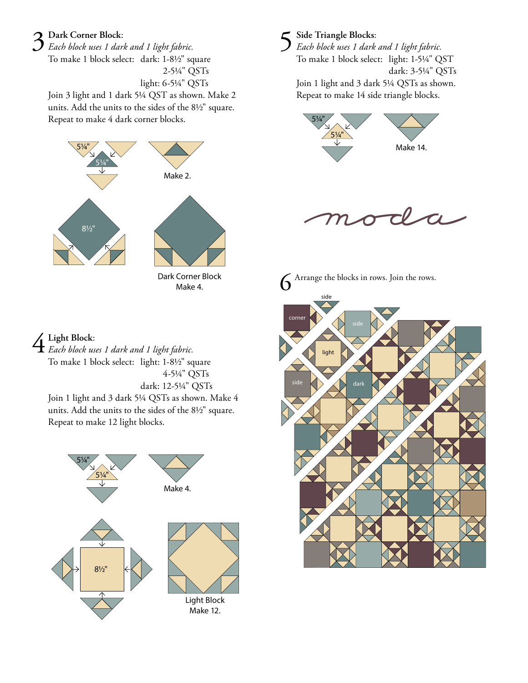# 3 **Dark Corner Block**:

*Each block uses 1 dark and 1 light fabric.*  To make 1 block select: dark: 1-8½" square 2-51/4" QSTs light: 6-51/4" QSTs

Join 3 light and 1 dark 51/4 QST as shown. Make 2 units. Add the units to the sides of the 81/2" square. Repeat to make 4 dark corner blocks.



Dark Corner Block Make 4.

4 **Light Block**: *Each block uses 1 dark and 1 light fabric.*  To make 1 block select: light: 1-8½" square 4-51/4" QSTs dark: 12-51/4" QSTs

Join 1 light and 3 dark 51/4 QSTs as shown. Make 4 units. Add the units to the sides of the 81/2" square. Repeat to make 12 light blocks.



- 
- 5 **Side Triangle Blocks**: *Each block uses 1 dark and 1 light fabric.*  To make 1 block select: light: 1-51/4" QST dark: 3-51/4" QSTs Join 1 light and 3 dark 51/4 QSTs as shown. Repeat to make 14 side triangle blocks.